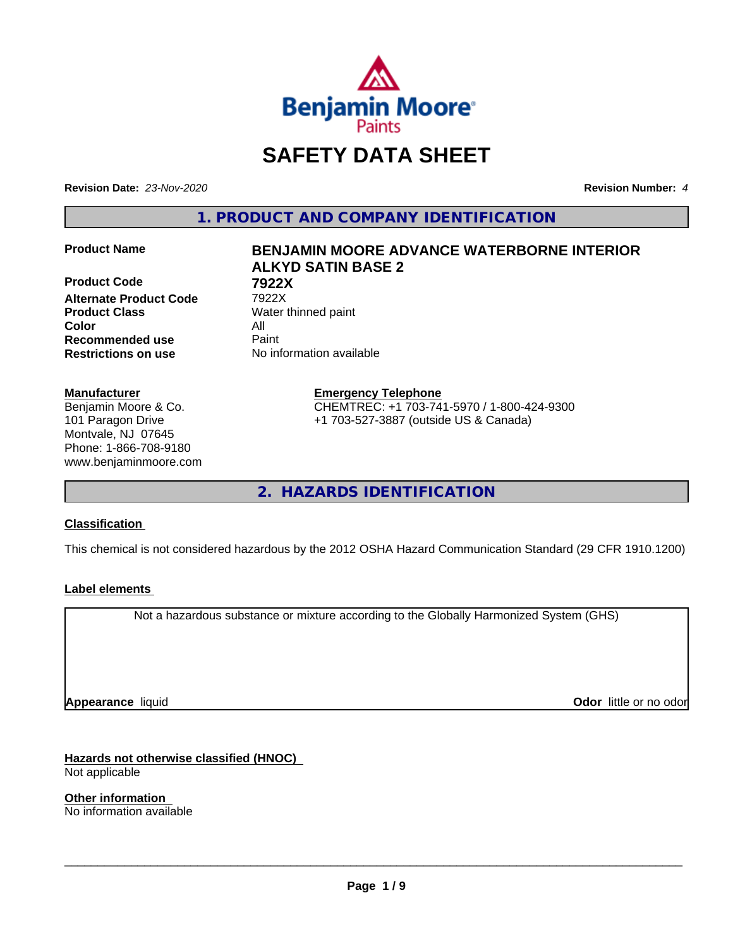

# **SAFETY DATA SHEET**

**Revision Date:** *23-Nov-2020* **Revision Number:** *4*

**1. PRODUCT AND COMPANY IDENTIFICATION**

**Product Code 7922X Alternate Product Code** 7922X **Product Class** Water thinned paint **Color** All **Recommended use** Paint **Restrictions on use** No information available

#### **Manufacturer**

Benjamin Moore & Co. 101 Paragon Drive Montvale, NJ 07645 Phone: 1-866-708-9180 www.benjaminmoore.com

# **Product Name BENJAMIN MOORE ADVANCE WATERBORNE INTERIOR ALKYD SATIN BASE 2**

**Emergency Telephone** CHEMTREC: +1 703-741-5970 / 1-800-424-9300 +1 703-527-3887 (outside US & Canada)

**2. HAZARDS IDENTIFICATION**

### **Classification**

This chemical is not considered hazardous by the 2012 OSHA Hazard Communication Standard (29 CFR 1910.1200)

### **Label elements**

Not a hazardous substance or mixture according to the Globally Harmonized System (GHS)

**Appearance** liquid

**Odor** little or no odor

**Hazards not otherwise classified (HNOC)** Not applicable

**Other information** No information available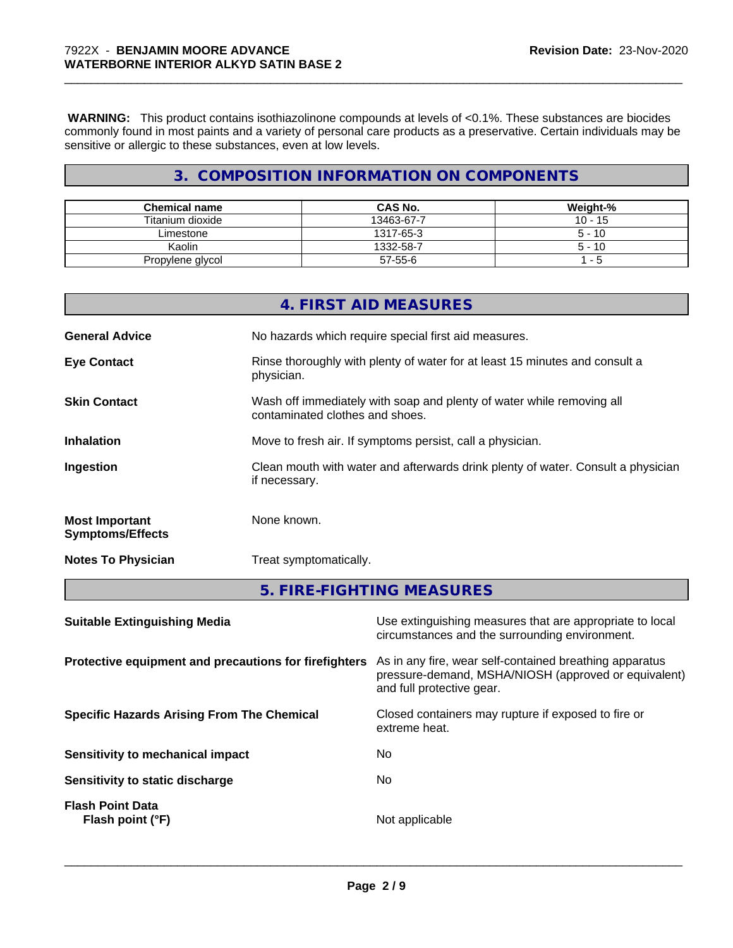**WARNING:** This product contains isothiazolinone compounds at levels of <0.1%. These substances are biocides commonly found in most paints and a variety of personal care products as a preservative. Certain individuals may be sensitive or allergic to these substances, even at low levels.

# **3. COMPOSITION INFORMATION ON COMPONENTS**

| <b>Chemical name</b> | <b>CAS No.</b> | Weight-%  |
|----------------------|----------------|-----------|
| Titanium dioxide     | 13463-67-7     | $10 - 15$ |
| Limestone            | 1317-65-3      | $5 - 10$  |
| Kaolin               | 1332-58-7      | $5 - 10$  |
| Propylene glycol     | 57-55-6        | - 5       |

|                                                  | 5. FIRE-FIGHTING MEASURES                                                                                |
|--------------------------------------------------|----------------------------------------------------------------------------------------------------------|
| <b>Notes To Physician</b>                        | Treat symptomatically.                                                                                   |
| <b>Most Important</b><br><b>Symptoms/Effects</b> | None known.                                                                                              |
| Ingestion                                        | Clean mouth with water and afterwards drink plenty of water. Consult a physician<br>if necessary.        |
| <b>Inhalation</b>                                | Move to fresh air. If symptoms persist, call a physician.                                                |
| <b>Skin Contact</b>                              | Wash off immediately with soap and plenty of water while removing all<br>contaminated clothes and shoes. |
| <b>Eye Contact</b>                               | Rinse thoroughly with plenty of water for at least 15 minutes and consult a<br>physician.                |
| <b>General Advice</b>                            | No hazards which require special first aid measures.                                                     |
|                                                  | 4. FIRST AID MEASURES                                                                                    |

| <b>Suitable Extinguishing Media</b>                   | Use extinguishing measures that are appropriate to local<br>circumstances and the surrounding environment.                                   |
|-------------------------------------------------------|----------------------------------------------------------------------------------------------------------------------------------------------|
| Protective equipment and precautions for firefighters | As in any fire, wear self-contained breathing apparatus<br>pressure-demand, MSHA/NIOSH (approved or equivalent)<br>and full protective gear. |
| <b>Specific Hazards Arising From The Chemical</b>     | Closed containers may rupture if exposed to fire or<br>extreme heat.                                                                         |
| Sensitivity to mechanical impact                      | No.                                                                                                                                          |
| Sensitivity to static discharge                       | No.                                                                                                                                          |
| <b>Flash Point Data</b><br>Flash point (°F)           | Not applicable                                                                                                                               |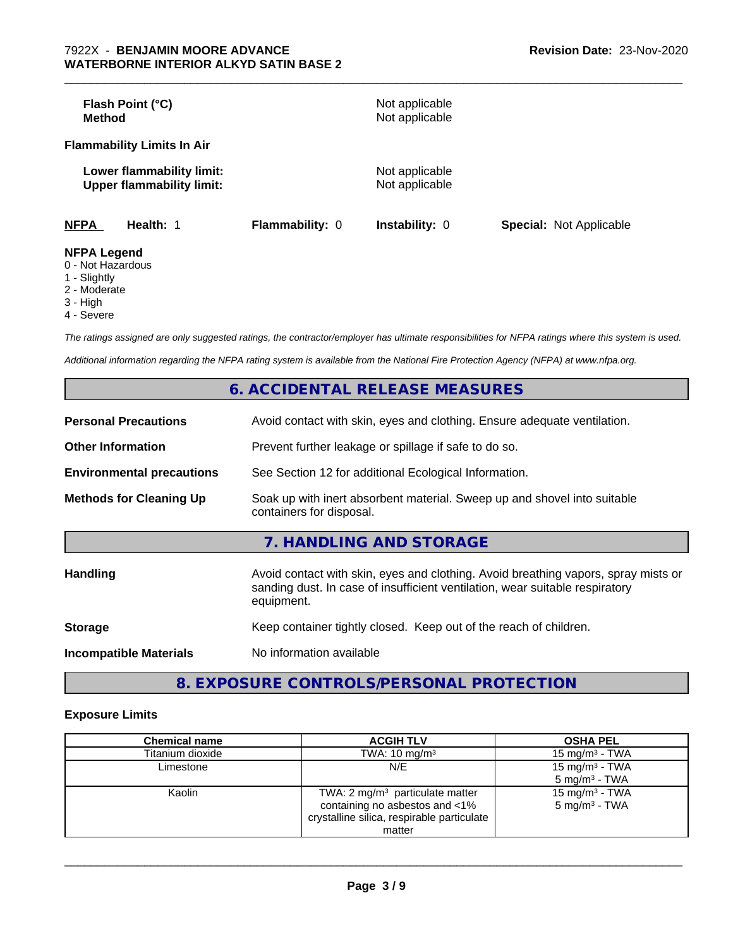| Flash Point (°C)<br>Method                                    |                        | Not applicable<br>Not applicable |                                |
|---------------------------------------------------------------|------------------------|----------------------------------|--------------------------------|
| <b>Flammability Limits In Air</b>                             |                        |                                  |                                |
| Lower flammability limit:<br><b>Upper flammability limit:</b> |                        | Not applicable<br>Not applicable |                                |
| <b>NFPA</b><br>Health: 1                                      | <b>Flammability: 0</b> | <b>Instability: 0</b>            | <b>Special: Not Applicable</b> |
| <b>NFPA Legend</b>                                            |                        |                                  |                                |

- 0 Not Hazardous
- 1 Slightly
- 2 Moderate
- 3 High
- 4 Severe

*The ratings assigned are only suggested ratings, the contractor/employer has ultimate responsibilities for NFPA ratings where this system is used.*

*Additional information regarding the NFPA rating system is available from the National Fire Protection Agency (NFPA) at www.nfpa.org.*

|                                  | 6. ACCIDENTAL RELEASE MEASURES                                                                                                                                                   |
|----------------------------------|----------------------------------------------------------------------------------------------------------------------------------------------------------------------------------|
| <b>Personal Precautions</b>      | Avoid contact with skin, eyes and clothing. Ensure adequate ventilation.                                                                                                         |
| <b>Other Information</b>         | Prevent further leakage or spillage if safe to do so.                                                                                                                            |
| <b>Environmental precautions</b> | See Section 12 for additional Ecological Information.                                                                                                                            |
| <b>Methods for Cleaning Up</b>   | Soak up with inert absorbent material. Sweep up and shovel into suitable<br>containers for disposal.                                                                             |
|                                  | 7. HANDLING AND STORAGE                                                                                                                                                          |
| <b>Handling</b>                  | Avoid contact with skin, eyes and clothing. Avoid breathing vapors, spray mists or<br>sanding dust. In case of insufficient ventilation, wear suitable respiratory<br>equipment. |
| <b>Storage</b>                   | Keep container tightly closed. Keep out of the reach of children.                                                                                                                |
| <b>Incompatible Materials</b>    | No information available                                                                                                                                                         |

**8. EXPOSURE CONTROLS/PERSONAL PROTECTION**

### **Exposure Limits**

| <b>Chemical name</b> | <b>ACGIH TLV</b>                                                                                                                     | <b>OSHA PEL</b>                                        |
|----------------------|--------------------------------------------------------------------------------------------------------------------------------------|--------------------------------------------------------|
| Titanium dioxide     | TWA: $10 \text{ mg/m}^3$                                                                                                             | 15 mg/m $3$ - TWA                                      |
| Limestone            | N/E                                                                                                                                  | 15 mg/m <sup>3</sup> - TWA<br>$5 \text{ mg/m}^3$ - TWA |
| Kaolin               | TWA: $2 \text{ mg/m}^3$ particulate matter<br>containing no asbestos and <1%<br>crystalline silica, respirable particulate<br>matter | 15 mg/m <sup>3</sup> - TWA<br>$5 \text{ mg/m}^3$ - TWA |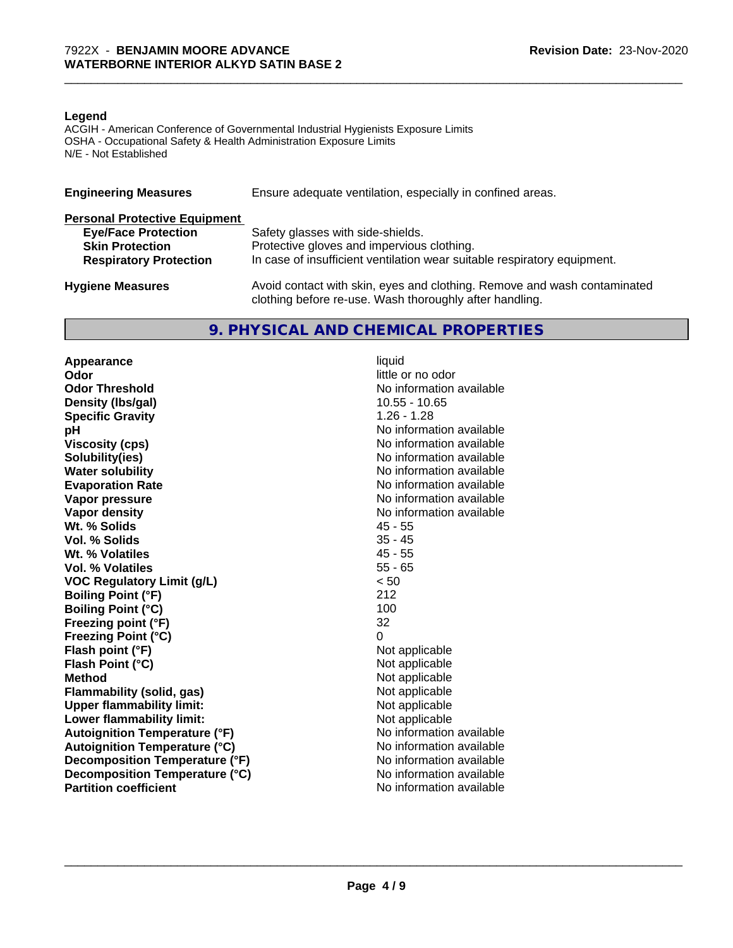#### **Legend**

ACGIH - American Conference of Governmental Industrial Hygienists Exposure Limits OSHA - Occupational Safety & Health Administration Exposure Limits N/E - Not Established

| <b>Engineering Measures</b>          | Ensure adequate ventilation, especially in confined areas.                                                                          |
|--------------------------------------|-------------------------------------------------------------------------------------------------------------------------------------|
| <b>Personal Protective Equipment</b> |                                                                                                                                     |
| <b>Eye/Face Protection</b>           | Safety glasses with side-shields.                                                                                                   |
| <b>Skin Protection</b>               | Protective gloves and impervious clothing.                                                                                          |
| <b>Respiratory Protection</b>        | In case of insufficient ventilation wear suitable respiratory equipment.                                                            |
| <b>Hygiene Measures</b>              | Avoid contact with skin, eyes and clothing. Remove and wash contaminated<br>clothing before re-use. Wash thoroughly after handling. |

# **9. PHYSICAL AND CHEMICAL PROPERTIES**

**Appearance** liquid<br> **Appearance** liquid<br> **Odor Odor Threshold No information available No information available Density (Ibs/gal)** 10.55 - 10.65<br> **Specific Gravity** 1.26 - 1.28 **Specific Gravity**<br>pH **Viscosity (cps)** No information available **Solubility(ies)** No information available **Water solubility** No information available **Evaporation Rate No information available No information available Vapor pressure** No information available **No information** available **Vapor density**<br> **We Solids**<br>
We Solid Wi, % Solids
2018 Wt. % Solids **Vol. % Solids** 35 - 45 **Wt. % Volatiles** 45 - 55<br> **Vol. % Volatiles** 45 - 65 **Vol. % Volatiles VOC Regulatory Limit (g/L)** < 50 **Boiling Point (°F)** 212 **Boiling Point (°C)** 100 **Freezing point (°F)** 32 **Freezing Point (°C)** 0 **Flash point (°F)** Not applicable **Flash Point (°C)** Not applicable **Method**<br> **Flammability (solid, gas)**<br> **Commability (solid, gas)**<br> **Not** applicable **Flammability** (solid, gas) **Upper flammability limit:**<br> **Lower flammability limit:** Not applicable Not applicable **Lower flammability limit:**<br> **Autoignition Temperature (°F)** Not applicable available and the Mustafable and Mustafable and Mustafable and Mu **Autoignition Temperature (°F) Autoignition Temperature (°C)** No information available **Decomposition Temperature (°F)** No information available **Decomposition Temperature (°C)** No information available **Partition coefficient** and the settlement of the settlement of the No information available

little or no odor **No information available** 

 $\overline{\phantom{a}}$  ,  $\overline{\phantom{a}}$  ,  $\overline{\phantom{a}}$  ,  $\overline{\phantom{a}}$  ,  $\overline{\phantom{a}}$  ,  $\overline{\phantom{a}}$  ,  $\overline{\phantom{a}}$  ,  $\overline{\phantom{a}}$  ,  $\overline{\phantom{a}}$  ,  $\overline{\phantom{a}}$  ,  $\overline{\phantom{a}}$  ,  $\overline{\phantom{a}}$  ,  $\overline{\phantom{a}}$  ,  $\overline{\phantom{a}}$  ,  $\overline{\phantom{a}}$  ,  $\overline{\phantom{a}}$ 

\_\_\_\_\_\_\_\_\_\_\_\_\_\_\_\_\_\_\_\_\_\_\_\_\_\_\_\_\_\_\_\_\_\_\_\_\_\_\_\_\_\_\_\_\_\_\_\_\_\_\_\_\_\_\_\_\_\_\_\_\_\_\_\_\_\_\_\_\_\_\_\_\_\_\_\_\_\_\_\_\_\_\_\_\_\_\_\_\_\_\_\_\_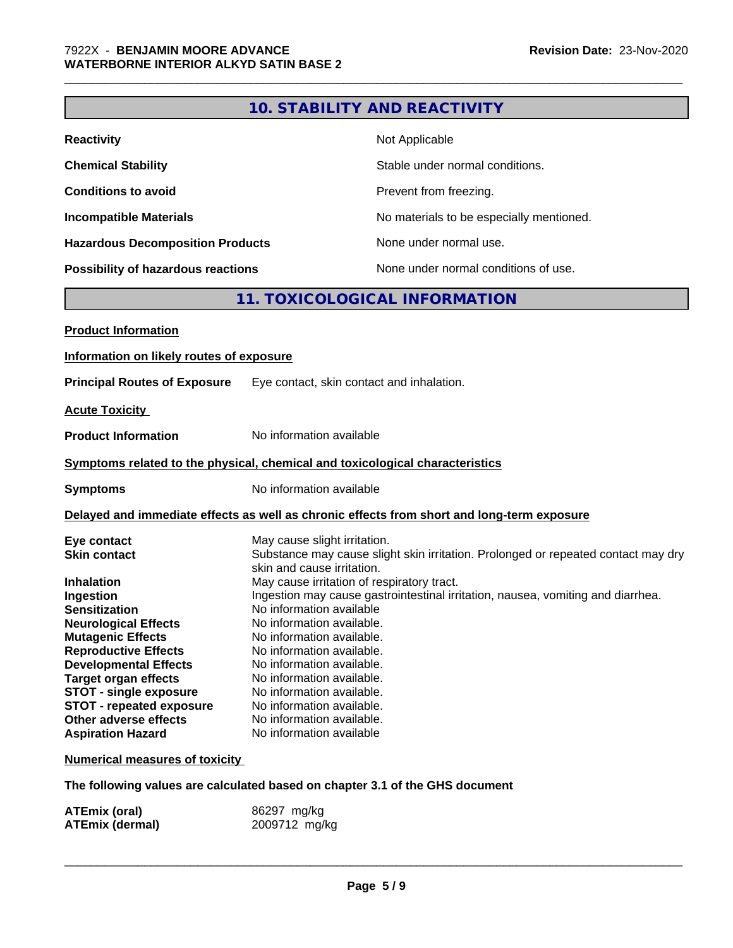# **10. STABILITY AND REACTIVITY**

\_\_\_\_\_\_\_\_\_\_\_\_\_\_\_\_\_\_\_\_\_\_\_\_\_\_\_\_\_\_\_\_\_\_\_\_\_\_\_\_\_\_\_\_\_\_\_\_\_\_\_\_\_\_\_\_\_\_\_\_\_\_\_\_\_\_\_\_\_\_\_\_\_\_\_\_\_\_\_\_\_\_\_\_\_\_\_\_\_\_\_\_\_

| <b>Reactivity</b>                       | Not Applicable                           |
|-----------------------------------------|------------------------------------------|
| <b>Chemical Stability</b>               | Stable under normal conditions.          |
| <b>Conditions to avoid</b>              | Prevent from freezing.                   |
| <b>Incompatible Materials</b>           | No materials to be especially mentioned. |
| <b>Hazardous Decomposition Products</b> | None under normal use.                   |
| Possibility of hazardous reactions      | None under normal conditions of use.     |

# **11. TOXICOLOGICAL INFORMATION**

| <b>Product Information</b>               |                                                                                                                 |
|------------------------------------------|-----------------------------------------------------------------------------------------------------------------|
| Information on likely routes of exposure |                                                                                                                 |
| <b>Principal Routes of Exposure</b>      | Eye contact, skin contact and inhalation.                                                                       |
| <b>Acute Toxicity</b>                    |                                                                                                                 |
| <b>Product Information</b>               | No information available                                                                                        |
|                                          | Symptoms related to the physical, chemical and toxicological characteristics                                    |
| <b>Symptoms</b>                          | No information available                                                                                        |
|                                          | Delayed and immediate effects as well as chronic effects from short and long-term exposure                      |
| Eye contact                              | May cause slight irritation.                                                                                    |
| <b>Skin contact</b>                      | Substance may cause slight skin irritation. Prolonged or repeated contact may dry<br>skin and cause irritation. |
| <b>Inhalation</b>                        | May cause irritation of respiratory tract.                                                                      |
| Ingestion                                | Ingestion may cause gastrointestinal irritation, nausea, vomiting and diarrhea.                                 |
| <b>Sensitization</b>                     | No information available                                                                                        |
| <b>Neurological Effects</b>              | No information available.                                                                                       |
| <b>Mutagenic Effects</b>                 | No information available.                                                                                       |
| <b>Reproductive Effects</b>              | No information available.                                                                                       |
| <b>Developmental Effects</b>             | No information available.                                                                                       |
| <b>Target organ effects</b>              | No information available.                                                                                       |
| <b>STOT - single exposure</b>            | No information available.                                                                                       |
| <b>STOT - repeated exposure</b>          | No information available.                                                                                       |
| Other adverse effects                    | No information available.                                                                                       |
| <b>Aspiration Hazard</b>                 | No information available                                                                                        |
| <b>Numerical measures of toxicity</b>    |                                                                                                                 |
|                                          |                                                                                                                 |

**The following values are calculated based on chapter 3.1 of the GHS document**

| ATEmix (oral)          | 86297 mg/kg   |
|------------------------|---------------|
| <b>ATEmix (dermal)</b> | 2009712 mg/kg |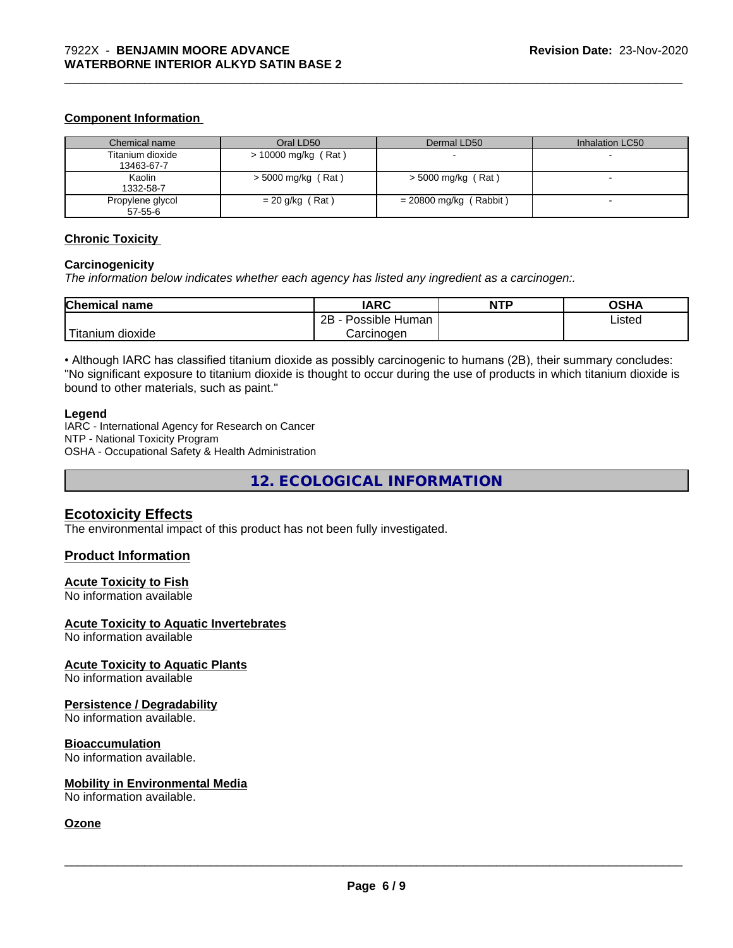#### **Component Information**

| Chemical name                  | Oral LD50            | Dermal LD50              | Inhalation LC50 |
|--------------------------------|----------------------|--------------------------|-----------------|
| Titanium dioxide<br>13463-67-7 | > 10000 mg/kg (Rat)  |                          |                 |
| Kaolin<br>1332-58-7            | $>$ 5000 mg/kg (Rat) | $>$ 5000 mg/kg (Rat)     |                 |
| Propylene glycol<br>57-55-6    | $= 20$ g/kg (Rat)    | $= 20800$ mg/kg (Rabbit) |                 |

\_\_\_\_\_\_\_\_\_\_\_\_\_\_\_\_\_\_\_\_\_\_\_\_\_\_\_\_\_\_\_\_\_\_\_\_\_\_\_\_\_\_\_\_\_\_\_\_\_\_\_\_\_\_\_\_\_\_\_\_\_\_\_\_\_\_\_\_\_\_\_\_\_\_\_\_\_\_\_\_\_\_\_\_\_\_\_\_\_\_\_\_\_

#### **Chronic Toxicity**

#### **Carcinogenicity**

*The information below indicateswhether each agency has listed any ingredient as a carcinogen:.*

| <b>Chemical name</b>                    | <b>IARC</b>                 | <b>NTP</b> | <b>OCUA</b><br>שטש |
|-----------------------------------------|-----------------------------|------------|--------------------|
|                                         | . .<br>2B<br>Possible Human |            | Listed             |
| بالمواقعة المراد<br>dioxide<br>Titanium | Carcinogen                  |            |                    |

• Although IARC has classified titanium dioxide as possibly carcinogenic to humans (2B), their summary concludes: "No significant exposure to titanium dioxide is thought to occur during the use of products in which titanium dioxide is bound to other materials, such as paint."

#### **Legend**

IARC - International Agency for Research on Cancer NTP - National Toxicity Program OSHA - Occupational Safety & Health Administration

**12. ECOLOGICAL INFORMATION**

#### **Ecotoxicity Effects**

The environmental impact of this product has not been fully investigated.

#### **Product Information**

#### **Acute Toxicity to Fish**

No information available

#### **Acute Toxicity to Aquatic Invertebrates**

No information available

#### **Acute Toxicity to Aquatic Plants**

No information available

#### **Persistence / Degradability**

No information available.

#### **Bioaccumulation**

No information available.

#### **Mobility in Environmental Media**

No information available.

# **Ozone**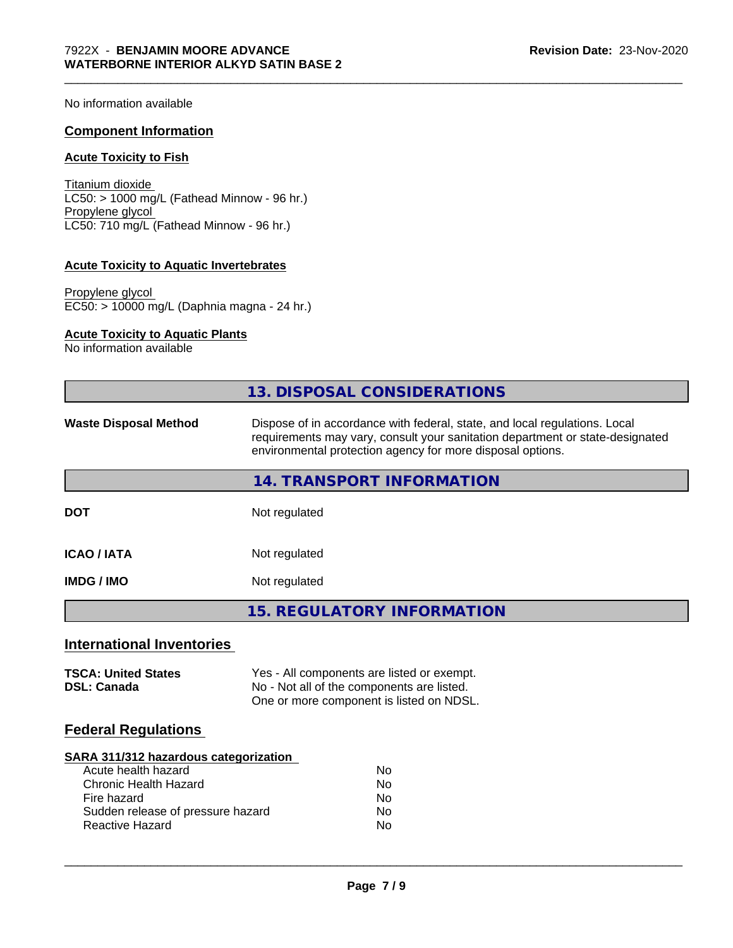No information available

#### **Component Information**

#### **Acute Toxicity to Fish**

Titanium dioxide  $LC50: > 1000$  mg/L (Fathead Minnow - 96 hr.) Propylene glycol LC50: 710 mg/L (Fathead Minnow - 96 hr.)

#### **Acute Toxicity to Aquatic Invertebrates**

Propylene glycol EC50: > 10000 mg/L (Daphnia magna - 24 hr.)

# **Acute Toxicity to Aquatic Plants**

No information available

|                                                                                                                                                                            | 13. DISPOSAL CONSIDERATIONS                                                                                                                                                                                               |  |  |
|----------------------------------------------------------------------------------------------------------------------------------------------------------------------------|---------------------------------------------------------------------------------------------------------------------------------------------------------------------------------------------------------------------------|--|--|
| <b>Waste Disposal Method</b>                                                                                                                                               | Dispose of in accordance with federal, state, and local regulations. Local<br>requirements may vary, consult your sanitation department or state-designated<br>environmental protection agency for more disposal options. |  |  |
|                                                                                                                                                                            | 14. TRANSPORT INFORMATION                                                                                                                                                                                                 |  |  |
| <b>DOT</b>                                                                                                                                                                 | Not regulated                                                                                                                                                                                                             |  |  |
| <b>ICAO / IATA</b>                                                                                                                                                         | Not regulated                                                                                                                                                                                                             |  |  |
| <b>IMDG / IMO</b>                                                                                                                                                          | Not regulated                                                                                                                                                                                                             |  |  |
|                                                                                                                                                                            | <b>15. REGULATORY INFORMATION</b>                                                                                                                                                                                         |  |  |
| <b>International Inventories</b>                                                                                                                                           |                                                                                                                                                                                                                           |  |  |
| <b>TSCA: United States</b><br><b>DSL: Canada</b>                                                                                                                           | Yes - All components are listed or exempt.<br>No - Not all of the components are listed.<br>One or more component is listed on NDSL.                                                                                      |  |  |
| <b>Federal Regulations</b>                                                                                                                                                 |                                                                                                                                                                                                                           |  |  |
| SARA 311/312 hazardous categorization<br>Acute health hazard<br><b>Chronic Health Hazard</b><br>Fire hazard<br>Sudden release of pressure hazard<br><b>Reactive Hazard</b> | No<br>No<br>No<br>No<br>No                                                                                                                                                                                                |  |  |
|                                                                                                                                                                            | Page 7/9                                                                                                                                                                                                                  |  |  |

\_\_\_\_\_\_\_\_\_\_\_\_\_\_\_\_\_\_\_\_\_\_\_\_\_\_\_\_\_\_\_\_\_\_\_\_\_\_\_\_\_\_\_\_\_\_\_\_\_\_\_\_\_\_\_\_\_\_\_\_\_\_\_\_\_\_\_\_\_\_\_\_\_\_\_\_\_\_\_\_\_\_\_\_\_\_\_\_\_\_\_\_\_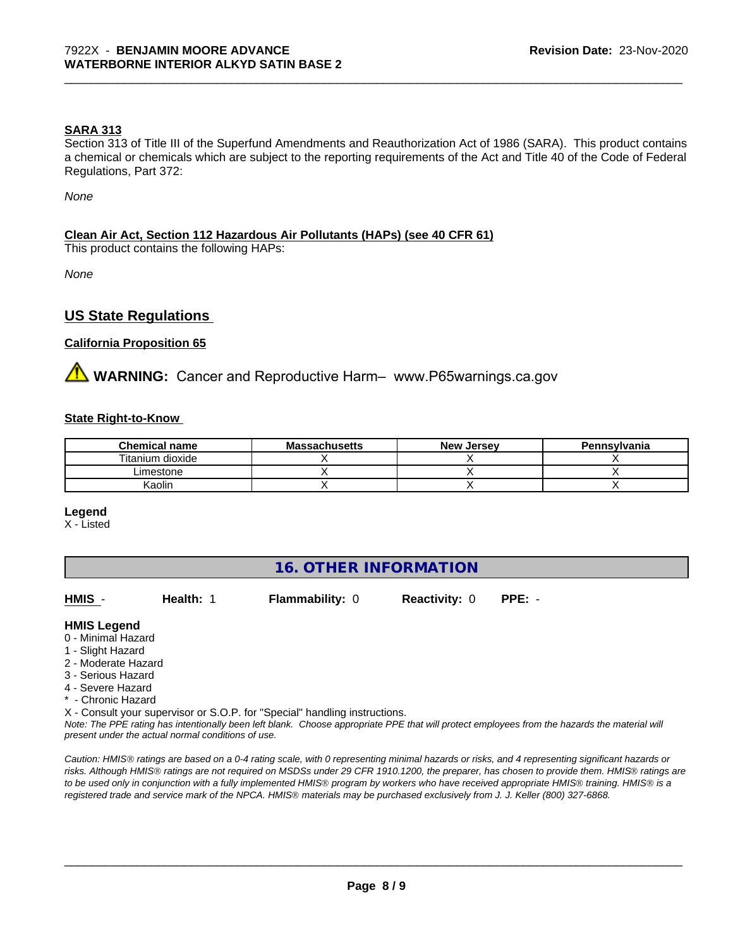#### **SARA 313**

Section 313 of Title III of the Superfund Amendments and Reauthorization Act of 1986 (SARA). This product contains a chemical or chemicals which are subject to the reporting requirements of the Act and Title 40 of the Code of Federal Regulations, Part 372:

\_\_\_\_\_\_\_\_\_\_\_\_\_\_\_\_\_\_\_\_\_\_\_\_\_\_\_\_\_\_\_\_\_\_\_\_\_\_\_\_\_\_\_\_\_\_\_\_\_\_\_\_\_\_\_\_\_\_\_\_\_\_\_\_\_\_\_\_\_\_\_\_\_\_\_\_\_\_\_\_\_\_\_\_\_\_\_\_\_\_\_\_\_

*None*

#### **Clean Air Act,Section 112 Hazardous Air Pollutants (HAPs) (see 40 CFR 61)**

This product contains the following HAPs:

*None*

### **US State Regulations**

#### **California Proposition 65**

**AVIMARNING:** Cancer and Reproductive Harm– www.P65warnings.ca.gov

#### **State Right-to-Know**

| <b>Chemical name</b> | <b>Massachusetts</b> | <b>New Jersey</b> | Pennsylvania |
|----------------------|----------------------|-------------------|--------------|
| Titanium dioxide     |                      |                   |              |
| Limestone            |                      |                   |              |
| <b>Kaolin</b>        |                      |                   |              |

#### **Legend**

X - Listed

# **16. OTHER INFORMATION**

| HMIS                                                          | Health: 1 | <b>Flammability: 0</b> | <b>Reactivity: 0</b> | $PPE: -$ |
|---------------------------------------------------------------|-----------|------------------------|----------------------|----------|
| <b>HMIS Legend</b><br>0 - Minimal Hazard<br>1 - Slight Hazard |           |                        |                      |          |

- 
- 2 Moderate Hazard
- 3 Serious Hazard
- 4 Severe Hazard
- \* Chronic Hazard

X - Consult your supervisor or S.O.P. for "Special" handling instructions.

*Note: The PPE rating has intentionally been left blank. Choose appropriate PPE that will protect employees from the hazards the material will present under the actual normal conditions of use.*

*Caution: HMISÒ ratings are based on a 0-4 rating scale, with 0 representing minimal hazards or risks, and 4 representing significant hazards or risks. Although HMISÒ ratings are not required on MSDSs under 29 CFR 1910.1200, the preparer, has chosen to provide them. HMISÒ ratings are to be used only in conjunction with a fully implemented HMISÒ program by workers who have received appropriate HMISÒ training. HMISÒ is a registered trade and service mark of the NPCA. HMISÒ materials may be purchased exclusively from J. J. Keller (800) 327-6868.*